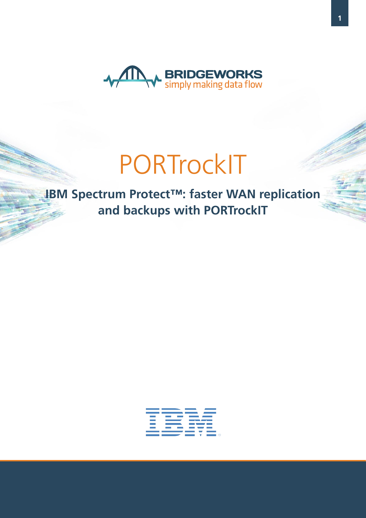

**IBM Spectrum Protect™: faster WAN replication and backups with PORTrockIT**

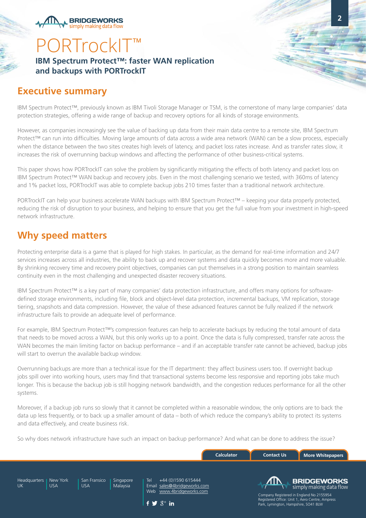**BRIDGEWORKS** simnly making data flo

### **IBM Spectrum Protect™: faster WAN replication and backups with PORTrockIT**

### **Executive summary**

IBM Spectrum Protect™, previously known as IBM Tivoli Storage Manager or TSM, is the cornerstone of many large companies' data protection strategies, offering a wide range of backup and recovery options for all kinds of storage environments.

**2**

However, as companies increasingly see the value of backing up data from their main data centre to a remote site, IBM Spectrum Protect™ can run into difficulties. Moving large amounts of data across a wide area network (WAN) can be a slow process, especially when the distance between the two sites creates high levels of latency, and packet loss rates increase. And as transfer rates slow, it increases the risk of overrunning backup windows and affecting the performance of other business-critical systems.

This paper shows how PORTrockIT can solve the problem by significantly mitigating the effects of both latency and packet loss on IBM Spectrum Protect™ WAN backup and recovery jobs. Even in the most challenging scenario we tested, with 360ms of latency and 1% packet loss, PORTrockIT was able to complete backup jobs 210 times faster than a traditional network architecture.

PORTrockIT can help your business accelerate WAN backups with IBM Spectrum Protect™ – keeping your data properly protected, reducing the risk of disruption to your business, and helping to ensure that you get the full value from your investment in high-speed network infrastructure.

## **Why speed matters**

Protecting enterprise data is a game that is played for high stakes. In particular, as the demand for real-time information and 24/7 services increases across all industries, the ability to back up and recover systems and data quickly becomes more and more valuable. By shrinking recovery time and recovery point objectives, companies can put themselves in a strong position to maintain seamless continuity even in the most challenging and unexpected disaster recovery situations.

IBM Spectrum Protect™ is a key part of many companies' data protection infrastructure, and offers many options for softwaredefined storage environments, including file, block and object-level data protection, incremental backups, VM replication, storage tiering, snapshots and data compression. However, the value of these advanced features cannot be fully realized if the network infrastructure fails to provide an adequate level of performance.

For example, IBM Spectrum Protect™'s compression features can help to accelerate backups by reducing the total amount of data that needs to be moved across a WAN, but this only works up to a point. Once the data is fully compressed, transfer rate across the WAN becomes the main limiting factor on backup performance – and if an acceptable transfer rate cannot be achieved, backup jobs will start to overrun the available backup window.

Overrunning backups are more than a technical issue for the IT department: they affect business users too. If overnight backup jobs spill over into working hours, users may find that transactional systems become less responsive and reporting jobs take much longer. This is because the backup job is still hogging network bandwidth, and the congestion reduces performance for all the other systems.

Moreover, if a backup job runs so slowly that it cannot be completed within a reasonable window, the only options are to back the data up less frequently, or to back up a smaller amount of data – both of which reduce the company's ability to protect its systems and data effectively, and create business risk.

So why does network infrastructure have such an impact on backup performance? And what can be done to address the issue?

|                    |                        |                     |                       |                                                                                                                          | <b>Calculator</b> | <b>Contact Us</b>                         | <b>More Whitepapers</b>                                                                                                                      |
|--------------------|------------------------|---------------------|-----------------------|--------------------------------------------------------------------------------------------------------------------------|-------------------|-------------------------------------------|----------------------------------------------------------------------------------------------------------------------------------------------|
| Headquarters<br>UK | New York<br><b>USA</b> | San Fransico<br>USA | Singapore<br>Malaysia | +44 (0) 1590 615444<br>Tel<br>Email sales@4bridgeworks.com<br>Web www.4bridgeworks.com<br>$f \blacktriangleright g^*$ in |                   | Æ<br>Park, Lymington, Hampshire, SO41 8LW | <b>BRIDGEWORKS</b><br>simply making data flow<br>Company Registered in England No 2155954<br>Registered Office: Unit 1, Aero Centre, Ampress |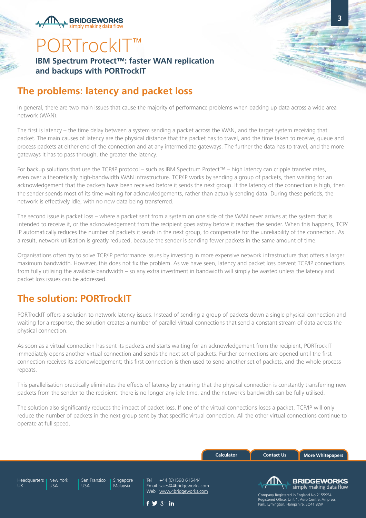**BRIDGEWORKS** simnly making data flow

**IBM Spectrum Protect™: faster WAN replication and backups with PORTrockIT**

### **The problems: latency and packet loss**

In general, there are two main issues that cause the majority of performance problems when backing up data across a wide area network (WAN).

**3**

The first is latency – the time delay between a system sending a packet across the WAN, and the target system receiving that packet. The main causes of latency are the physical distance that the packet has to travel, and the time taken to receive, queue and process packets at either end of the connection and at any intermediate gateways. The further the data has to travel, and the more gateways it has to pass through, the greater the latency.

For backup solutions that use the TCP/IP protocol – such as IBM Spectrum Protect™ – high latency can cripple transfer rates, even over a theoretically high-bandwidth WAN infrastructure. TCP/IP works by sending a group of packets, then waiting for an acknowledgement that the packets have been received before it sends the next group. If the latency of the connection is high, then the sender spends most of its time waiting for acknowledgements, rather than actually sending data. During these periods, the network is effectively idle, with no new data being transferred.

The second issue is packet loss – where a packet sent from a system on one side of the WAN never arrives at the system that is intended to receive it, or the acknowledgement from the recipient goes astray before it reaches the sender. When this happens, TCP/ IP automatically reduces the number of packets it sends in the next group, to compensate for the unreliability of the connection. As a result, network utilisation is greatly reduced, because the sender is sending fewer packets in the same amount of time.

Organisations often try to solve TCP/IP performance issues by investing in more expensive network infrastructure that offers a larger maximum bandwidth. However, this does not fix the problem. As we have seen, latency and packet loss prevent TCP/IP connections from fully utilising the available bandwidth – so any extra investment in bandwidth will simply be wasted unless the latency and packet loss issues can be addressed.

## **The solution: PORTrockIT**

PORTrockIT offers a solution to network latency issues. Instead of sending a group of packets down a single physical connection and waiting for a response, the solution creates a number of parallel virtual connections that send a constant stream of data across the physical connection.

As soon as a virtual connection has sent its packets and starts waiting for an acknowledgement from the recipient, PORTrockIT immediately opens another virtual connection and sends the next set of packets. Further connections are opened until the first connection receives its acknowledgement; this first connection is then used to send another set of packets, and the whole process repeats.

This parallelisation practically eliminates the effects of latency by ensuring that the physical connection is constantly transferring new packets from the sender to the recipient: there is no longer any idle time, and the network's bandwidth can be fully utilised.

The solution also significantly reduces the impact of packet loss. If one of the virtual connections loses a packet, TCP/IP will only reduce the number of packets in the next group sent by that specific virtual connection. All the other virtual connections continue to operate at full speed.

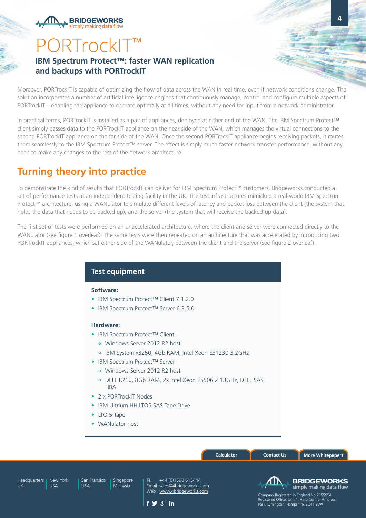## PORTrockIT<sup>™</sup> **IBM Spectrum Protect™: faster WAN replication and backups with PORTrockIT**

**BRIDGEWORKS** simply making data flo

Moreover, PORTrockIT is capable of optimizing the flow of data across the WAN in real time, even if network conditions change. The solution incorporates a number of artificial intelligence engines that continuously manage, control and configure multiple aspects of PORTrockIT – enabling the appliance to operate optimally at all times, without any need for input from a network administrator.

In practical terms, PORTrockIT is installed as a pair of appliances, deployed at either end of the WAN. The IBM Spectrum Protect™ client simply passes data to the PORTrockIT appliance on the near side of the WAN, which manages the virtual connections to the second PORTrockIT appliance on the far side of the WAN. Once the second PORTrockIT appliance begins receiving packets, it routes them seamlessly to the IBM Spectrum Protect™ server. The effect is simply much faster network transfer performance, without any need to make any changes to the rest of the network architecture.

## **Turning theory into practice**

To demonstrate the kind of results that PORTrockIT can deliver for IBM Spectrum Protect™ customers, Bridgeworks conducted a set of performance tests at an independent testing facility in the UK. The test infrastructures mimicked a real-world IBM Spectrum Protect™ architecture, using a WANulator to simulate different levels of latency and packet loss between the client (the system that holds the data that needs to be backed up), and the server (the system that will receive the backed-up data).

The first set of tests were performed on an unaccelerated architecture, where the client and server were connected directly to the WANulator (see figure 1 overleaf). The same tests were then repeated on an architecture that was accelerated by introducing two PORTrockIT appliances, which sat either side of the WANulator, between the client and the server (see figure 2 overleaf).

### **Test equipment**

### **Software:**

- IBM Spectrum Protect™ Client 7.1.2.0
- IBM Spectrum Protect™ Server 6.3.5.0

### **Hardware:**

- IBM Spectrum Protect™ Client
	- Windows Server 2012 R2 host
	- IBM System x3250, 4Gb RAM, Intel Xeon E31230 3.2GHz
- IBM Spectrum Protect™ Server
	- Windows Server 2012 R2 host
	- DELL R710, 8Gb RAM, 2x Intel Xeon E5506 2.13GHz, DELL SAS **HBA**
- 2 x PORTrockIT Nodes
- IBM Ultrium HH LTO5 SAS Tape Drive
- LTO 5 Tape
- WANulator host

|                    |                        |                            |                       |                                                                                                                           | <b>Calculator</b> | <b>Contact Us</b>                         | <b>More Whitepapers</b>                                                                                                                      |  |
|--------------------|------------------------|----------------------------|-----------------------|---------------------------------------------------------------------------------------------------------------------------|-------------------|-------------------------------------------|----------------------------------------------------------------------------------------------------------------------------------------------|--|
| Headquarters<br>UK | New York<br><b>USA</b> | San Fransico<br><b>USA</b> | Singapore<br>Malaysia | +44 (0)1590 615444<br>Tel<br>Email sales@4bridgeworks.com<br>Web www.4bridgeworks.com<br>$f \blacktrianglerighteq S^+$ in |                   | Æ<br>Park, Lymington, Hampshire, SO41 8LW | <b>BRIDGEWORKS</b><br>simply making data flow<br>Company Registered in England No 2155954<br>Registered Office: Unit 1, Aero Centre, Ampress |  |

f V $S^+$  in

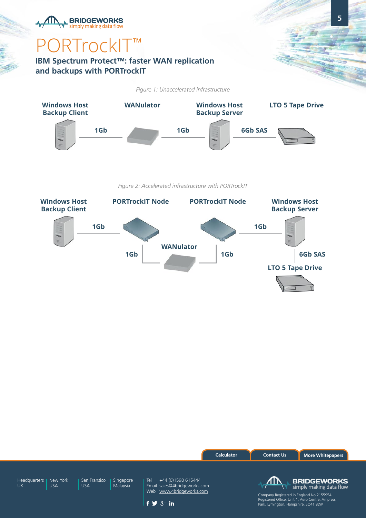## simply making data flow ORTrockIT<sup>™</sup>

**BRIDGEWORKS** 

### **IBM Spectrum Protect™: faster WAN replication and backups with PORTrockIT**

*Figure 1: Unaccelerated infrastructure*



*Figure 2: Accelerated infrastructure with PORTrockIT*





**5**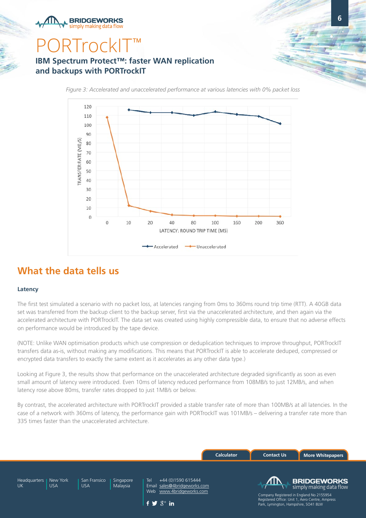**BRIDGEWORKS** simnly making data flow

### **IBM Spectrum Protect™: faster WAN replication and backups with PORTrockIT**

*Figure 3: Accelerated and unaccelerated performance at various latencies with 0% packet loss*

**6**



### **What the data tells us**

#### **Latency**

The first test simulated a scenario with no packet loss, at latencies ranging from 0ms to 360ms round trip time (RTT). A 40GB data set was transferred from the backup client to the backup server, first via the unaccelerated architecture, and then again via the accelerated architecture with PORTrockIT. The data set was created using highly compressible data, to ensure that no adverse effects on performance would be introduced by the tape device.

(NOTE: Unlike WAN optimisation products which use compression or deduplication techniques to improve throughput, PORTrockIT transfers data as-is, without making any modifications. This means that PORTrockIT is able to accelerate deduped, compressed or encrypted data transfers to exactly the same extent as it accelerates as any other data type.)

Looking at Figure 3, the results show that performance on the unaccelerated architecture degraded significantly as soon as even small amount of latency were introduced. Even 10ms of latency reduced performance from 108MB/s to just 12MB/s, and when latency rose above 80ms, transfer rates dropped to just 1MB/s or below.

By contrast, the accelerated architecture with PORTrockIT provided a stable transfer rate of more than 100MB/s at all latencies. In the case of a network with 360ms of latency, the performance gain with PORTrockIT was 101MB/s – delivering a transfer rate more than 335 times faster than the unaccelerated architecture.

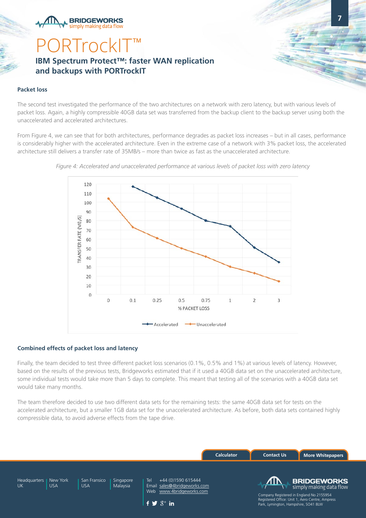**BRIDGEWORKS** simnly making data flow

## **ORTrockIT IBM Spectrum Protect™: faster WAN replication and backups with PORTrockIT**

#### **Packet loss**

The second test investigated the performance of the two architectures on a network with zero latency, but with various levels of packet loss. Again, a highly compressible 40GB data set was transferred from the backup client to the backup server using both the unaccelerated and accelerated architectures.

**7**

From Figure 4, we can see that for both architectures, performance degrades as packet loss increases – but in all cases, performance is considerably higher with the accelerated architecture. Even in the extreme case of a network with 3% packet loss, the accelerated architecture still delivers a transfer rate of 35MB/s – more than twice as fast as the unaccelerated architecture.



*Figure 4: Accelerated and unaccelerated performance at various levels of packet loss with zero latency*

#### **Combined effects of packet loss and latency**

Finally, the team decided to test three different packet loss scenarios (0.1%, 0.5% and 1%) at various levels of latency. However, based on the results of the previous tests, Bridgeworks estimated that if it used a 40GB data set on the unaccelerated architecture, some individual tests would take more than 5 days to complete. This meant that testing all of the scenarios with a 40GB data set would take many months.

The team therefore decided to use two different data sets for the remaining tests: the same 40GB data set for tests on the accelerated architecture, but a smaller 1GB data set for the unaccelerated architecture. As before, both data sets contained highly compressible data, to avoid adverse effects from the tape drive.

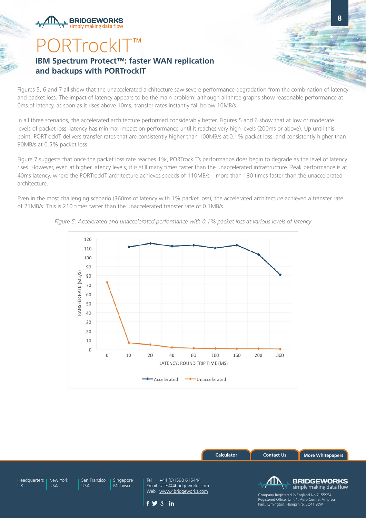## ORTrockI<sup>-</sup> **IBM Spectrum Protect™: faster WAN replication and backups with PORTrockIT**

**BRIDGEWORKS** simnly making data flow

Figures 5, 6 and 7 all show that the unaccelerated architecture saw severe performance degradation from the combination of latency and packet loss. The impact of latency appears to be the main problem: although all three graphs show reasonable performance at 0ms of latency, as soon as it rises above 10ms, transfer rates instantly fall below 10MB/s.

In all three scenarios, the accelerated architecture performed considerably better. Figures 5 and 6 show that at low or moderate levels of packet loss, latency has minimal impact on performance until it reaches very high levels (200ms or above). Up until this point, PORTrockIT delivers transfer rates that are consistently higher than 100MB/s at 0.1% packet loss, and consistently higher than 90MB/s at 0.5% packet loss.

Figure 7 suggests that once the packet loss rate reaches 1%, PORTrockIT's performance does begin to degrade as the level of latency rises. However, even at higher latency levels, it is still many times faster than the unaccelerated infrastructure. Peak performance is at 40ms latency, where the PORTrockIT architecture achieves speeds of 110MB/s – more than 180 times faster than the unaccelerated architecture.

Even in the most challenging scenario (360ms of latency with 1% packet loss), the accelerated architecture achieved a transfer rate of 21MB/s. This is 210 times faster than the unaccelerated transfer rate of 0.1MB/s.



*Figure 5: Accelerated and unaccelerated performance with 0.1% packet loss at various levels of latency*

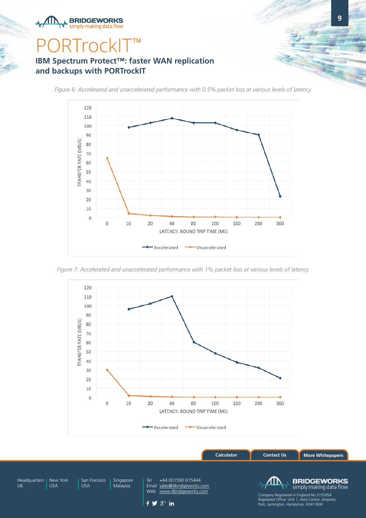## **PRTrockIT™**

**BRIDGEWORKS** simply making data flow

### **IBM Spectrum Protect™: faster WAN replication and backups with PORTrockIT**

*Figure 6: Accelerated and unaccelerated performance with 0.5% packet loss at various levels of latency*



*Figure 7: Accelerated and unaccelerated performance with 1% packet loss at various levels of latency*



**[Calculator](http://www.4bridgeworks.com/solutions/throughputcalculator/) [Contact Us](http://www.4bridgeworks.com/contact-us/) [More Whitepapers](http://www.4bridgeworks.com/white-paper-overview/)**

Headquarters | New York UK

USA

USA

Singapore Malaysia San Fransico

Tel +44 (0)1590 615444 Email [sales@4bridgeworks.com](mailto:sales%404bridgeworks.com?subject=) Web [www.4bridgeworks.com](http://www.4bridgeworks.com)

**BRIDGEWORKS** simply making data flow

**9**



Company Registered in England No 2155954 Registered Office: Unit 1, Aero Centre, Ampress Park, Lymington, Hampshire, SO41 8LW